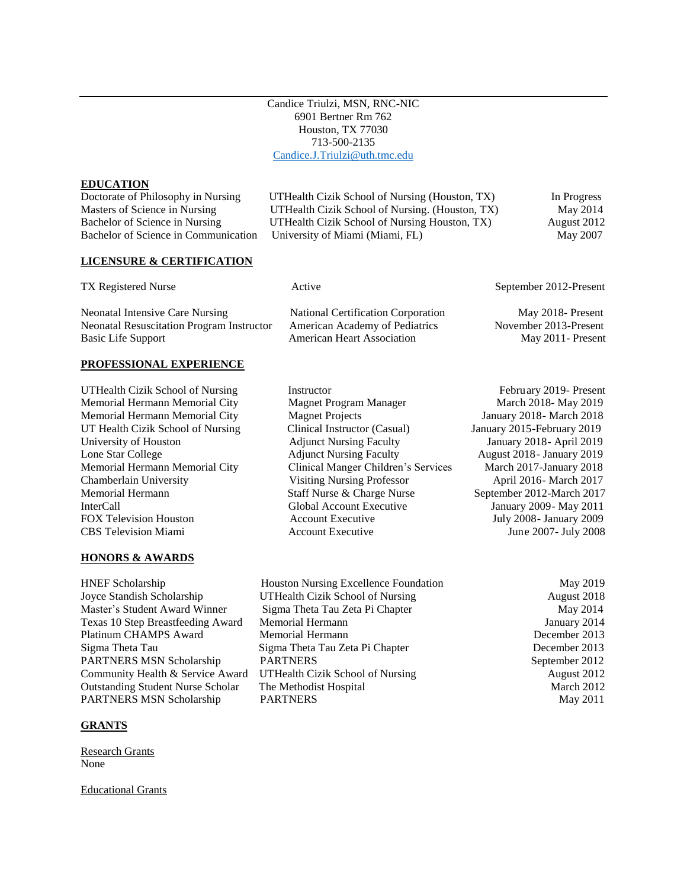Candice Triulzi, MSN, RNC-NIC 6901 Bertner Rm 762 Houston, TX 77030 713-500-2135 [Candice.J.Triulzi@uth.tmc.edu](mailto:Candice.J.Triulzi@uth.tmc.edu)

#### **EDUCATION**

**LICENSURE & CERTIFICATION**

TX Registered Nurse **Active** Active September 2012-Present

Neonatal Intensive Care Nursing National Certification Corporation May 2018- Present Neonatal Resuscitation Program Instructor American Academy of Pediatrics November 2013-Present Basic Life Support **American Heart Association** May 2011- Present

#### **PROFESSIONAL EXPERIENCE**

UTHealth Cizik School of Nursing Instructor Instructor February 2019- Present

### **HONORS & AWARDS**

HNEF Scholarship Houston Nursing Excellence Foundation May 2019 PARTNERS MSN Scholarship PARTNERS May 2011

### **GRANTS**

Research Grants None

Educational Grants

Doctorate of Philosophy in Nursing UTHealth Cizik School of Nursing (Houston, TX) In Progress Masters of Science in Nursing UTHealth Cizik School of Nursing. (Houston, TX) May 2014 Bachelor of Science in Nursing UTHealth Cizik School of Nursing Houston, TX) August 2012 Bachelor of Science in Communication University of Miami (Miami, FL) May 2007

Memorial Hermann Memorial City Magnet Program Manager March 2018- May 2019 Memorial Hermann Memorial City Magnet Projects January 2018- March 2018 UT Health Cizik School of Nursing Clinical Instructor (Casual) January 2015-February 2019 University of Houston Adjunct Nursing Faculty January 2018- April 2019 Lone Star College Adjunct Nursing Faculty August 2018- January 2019 Memorial Hermann Memorial City Clinical Manger Children's Services March 2017-January 2018 Chamberlain University Visiting Nursing Professor April 2016- March 2017<br>Memorial Hermann Staff Nurse & Charge Nurse September 2012-March 2017 Memorial Hermann Staff Nurse & Charge Nurse September 2012-March 2017 InterCall Global Account Executive January 2009- May 2011 FOX Television Houston **Account Executive 3** July 2008- January 2009 CBS Television Miami Account Executive June 2007- July 2008

Joyce Standish Scholarship UTHealth Cizik School of Nursing August 2018 Master's Student Award Winner Sigma Theta Tau Zeta Pi Chapter May 2014 Texas 10 Step Breastfeeding Award Memorial Hermann January 2014 Platinum CHAMPS Award Memorial Hermann and the contract of the December 2013 Sigma Theta Tau Sigma Theta Tau Zeta Pi Chapter December 2013 PARTNERS MSN Scholarship PARTNERS September 2012 Community Health & Service Award UTHealth Cizik School of Nursing August 2012 Outstanding Student Nurse Scholar The Methodist Hospital March 2012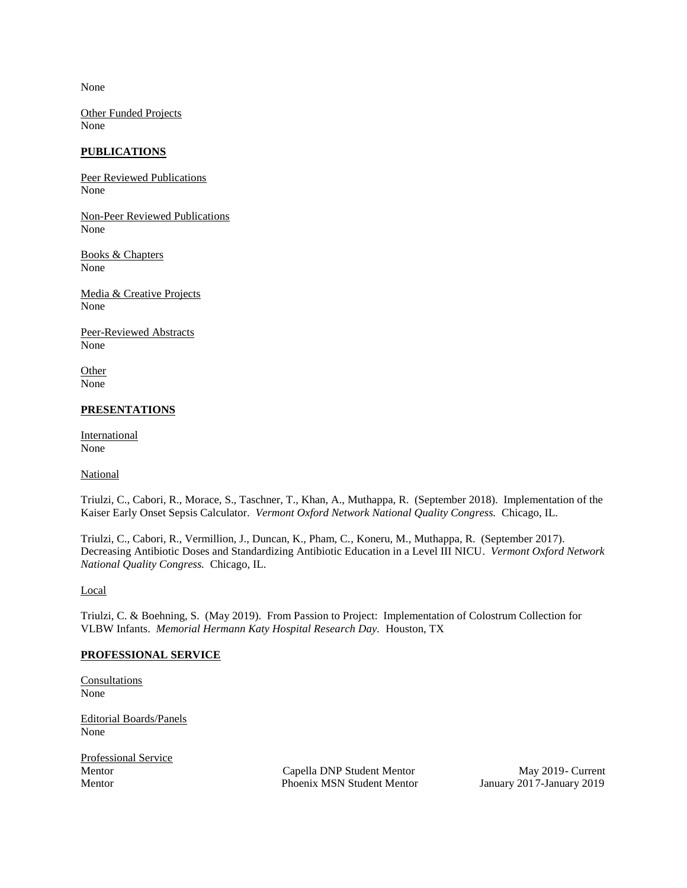None

Other Funded Projects None

# **PUBLICATIONS**

Peer Reviewed Publications None

Non-Peer Reviewed Publications None

Books & Chapters None

Media & Creative Projects None

Peer-Reviewed Abstracts None

Other None

# **PRESENTATIONS**

International None

**National** 

Triulzi, C., Cabori, R., Morace, S., Taschner, T., Khan, A., Muthappa, R. (September 2018). Implementation of the Kaiser Early Onset Sepsis Calculator. *Vermont Oxford Network National Quality Congress.* Chicago, IL.

Triulzi, C., Cabori, R., Vermillion, J., Duncan, K., Pham, C., Koneru, M., Muthappa, R. (September 2017). Decreasing Antibiotic Doses and Standardizing Antibiotic Education in a Level III NICU. *Vermont Oxford Network National Quality Congress.* Chicago, IL.

Local

Triulzi, C. & Boehning, S. (May 2019). From Passion to Project: Implementation of Colostrum Collection for VLBW Infants. *Memorial Hermann Katy Hospital Research Day.* Houston, TX

### **PROFESSIONAL SERVICE**

Consultations None

Editorial Boards/Panels None

Professional Service<br>Mentor

Capella DNP Student Mentor<br>
Phoenix MSN Student Mentor<br>
January 2017-January 2019 Mentor Phoenix MSN Student Mentor